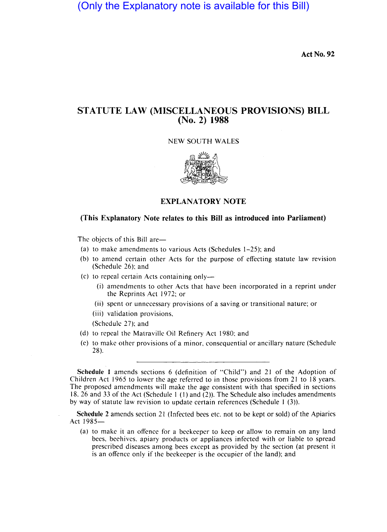## (Only the Explanatory note is available for this Bill)

Act No. **92** 

## **STATUTE LAW (MISCELLANEOUS PROVISIONS) BILL (No. 2) 1988**

NEW SOUTH WALES



**EXPLANATORY NOTE** 

## **(This Explanatory Note relates to this Bill as introduced into Parliament)**

The objects of this Bill are-

- (a) to make amendments to various Acts (Schedules 1-25); and
- (b) to amend certain other Acts for the purpose of effecting statute law revision (Schedule 26); and
- (c) to repeal certain Acts containing only-
	- (i) amendments to other Acts that have been incorporated in a reprint under the Reprints Act 1972; or
	- (ii) spent or unnecessary provisions of a saving or transitional nature; or
	- (iii) validation provisions,

(Schedule 27); and

- (d) to repeal the Matraville Oil Refinery Act 1980; and
- (e) to make other provisions of a minor, consequential or ancillary nature (Schedule 28).

**Schedule 1** amends sections 6 (definition of "Child") and 21 of the Adoption of Children Act 1965 to lower the age referred to in those provisions from 21 to 18 years. The proposed amendments will make the age consistent with that specified in sections 18, 26 and 33 of the Act (Schedule I (I) and (2)). The Schedule also includes amendments by way of statute law revision to update certain references (Schedule 1 (3)).

**Schedule** 2 amends section 21 (Infected bees etc. not to be kept or sold) of the Apiaries Act 1985-

(a) to make it an offence for a beekeeper to keep or allow to remain on any land bees, beehives, apiary products or appliances infected with or liable to spread prescribed diseases among bees except as provided by the section (at present it is an offence only if the beekeeper is the occupier of the land); and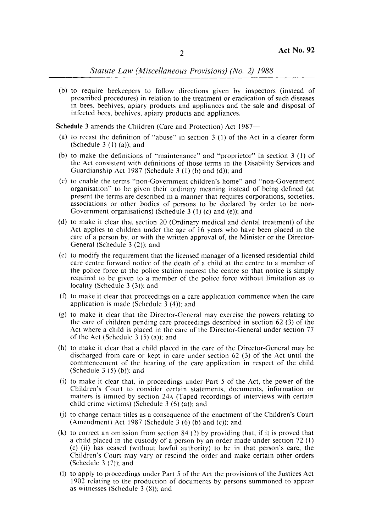*Statute Law (Miscelldneous Provisiom) (No.* 2) 1988

(b) to require beekeepers to follbw directions given by inspectors (instead of prescribed procedures) in relation to the treatment or eradication of such diseases in bees, beehives, apiary products and appliances and the sale and disposal of infected bees, beehives, apiary products and appliances.

**Schedule** 3 amends the Children (Care and Protection) Act 1987-

- (a) to recast the definition of "abuse" in section  $3(1)$  of the Act in a clearer form (Schedule  $3(1)(a)$ ); and
- (b) to make the definitions of "maintenance" and "proprietor" in section  $3(1)$  of the Act consistent with definitions of those terms in the Disability Services and Guardianship Act 1987 (Schedule 3  $(1)$  (b) and (d)); and
- (c) to enable the terms "non-Government children's home" and "non-Government organisation" to be given their ordinary meaning instead of being defined (at present the terms are described in a manner that requires corporations, societies, associations or other bodies or persons to be declared by order to be non-Government organisations) (Schedule  $3(1)(c)$  and (e)); and
- (d) to make it clear that section 20 (Ordinary medical and dental treatment) of the Act applies to children under the age of 16 years who have been placed in the care of a person by, or with the written approval of, the Minister or the Director-General (Schedule 3 (2)); and
- $(e)$  to modify the requirement that the licensed manager of a licensed residential child care centre forward notice of the death of a child at the centre to a member of the police force at the police station nearest the centre so that notice is simply required to be given to a member of the police force without limitation as to locality (Schedule 3 (3)); and
- (f) to make it clear that proceedings on a care application commence when the care application is made (Schedule  $3$  (4)); and
- (g) to make it clear that the Director-General may exercise the powers relating to the care of children pending cane proceedings described in section 62 (3) of the Act where a child is placed in the care of the Director-General under section 77 of the Act (Schedule  $3(5)(a)$ ); and
- (h) to make it clear that a child placed in the care of the Director-General may be discharged from care or kept in care under section  $62$  (3) of the Act until the commencement of the hearing of the care application in respect of the child (Schedule 3 $(5)$  (b)); and
- (i) to make it clear that, in proceedings under Part 5 of the Act, the power of the Children's Court to consider certain statements, documents, information or matters is limited by section  $24A$  (Taped recordings of interviews with certain child crime victims) (Schedule  $3(6)(a)$ ); and
- Ul to change certain titles as a consequence of the enactment of the Children's Court (Amendment) Act 1987 (Schedule 3 (6) (b) and (c)); and
- (k) to correct an omission from section 84 (2) by providing that, if it is proved that a child placed in the custody of a person by an order made under section 72 (1) (c) (ii) has ceased (without lawful authority) to be in that person's care, the Children's Court may vary or rescind the order and make certain other orders (Schedule  $3(7)$ ); and
- (I) to apply to proceedings under Part 5 of the Act the provisions of the Justices Act 1902 relating to the production bf documents by persons summoned to appear as witnesses (Schedule  $3(8)$ ); and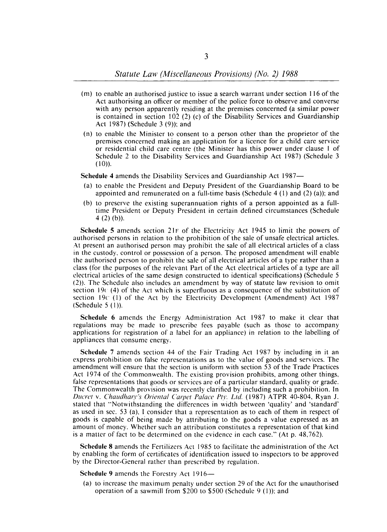- (m) to enable an authorised justice to issue a search warrant under section 116 of the Act authorising an officer or member of the police force to observe and converse with any person apparently residing at the premises concerned (a similar power is contained in section 102 (2) (c) of the Disability Services and Guardianship Act 1987) (Schedule 3 (9)); and
- (n) to enable the Minister to consent to a person other than the proprietor of the premises concerned making an application for a licence for a child care service or residential child care centre (the Minister has this power under clause I of Schedule 2 to the Disability Services and Guardianship Act 1987) (Schedule 3  $(10)$ .

Schedule 4 amends the Disability Services and Guardianship Act 1987-

- (a) to enable the President and Deputy President of the Guardianship Board to be appointed and remunerated on a full-time basis (Schedule 4  $(1)$  and  $(2)$  (a)); and
- (b) to preserve the existing superannuation rights of a person appointed as a fulltime President or Deputy President in certain defined circumstances (Schedule 4 $(2)$  $(b)$ ).

Schedule 5 amends section 21F of the Electricity Act 1945 to limit the powers of authorised persons in relation to the prohibition of the sale of unsafe electrical articles. At present an authorised person may prohibit the sale of all electrical articles of a class in the custody, control or possession of a person. The proposed amendment will enable the authorised person to prohibit the sale of all electrical articles of a type rather than a class (for the purposes of the relevant Part of the Act electrical articles of a type are all electrical articles of the same design constructed to identical specifications) (Schedule 5 (2)). The Schedule also includes an amendment by way of statute law revision to omit section 19c (4) of the Act which is superfluous as a consequence of the substitution of section 19c (I) of the Act by the Electricity Development (Amendment) Act 1987  $(Schedule 5 (1)).$ 

Schedule 6 amends the Energy Administration Act 1987 to make it clear that regulations may be made to prescribe fees payable (such as those to accompany applications for registration of a label for an appliance) in relation to the labelling of appliances that consume energy.

Schedule 7 amends section 44 of the Fair Trading Act 1987 by including in it an express prohibition on false representations as to the value of goods and services. The amendment will ensure that the section is uniform with section 53 of the Trade Practices Act 1974 of the Commonwealth. The existing provision prohibits, among other things, false representations that goods or services are of a particular standard, quality or grade. The Commonwealth provision was recently clarified by including such a prohibition. In *Ducret v. Chaudhary's Oriental Carpet Palace Pty. Ltd.* (1987) ATPR 40-804, Ryan J. stated that "Notwithstanding the differences in width between 'quality' and 'standard' as used in sec. 53 (a), I consider that a representation as to each of them in respect of goods is capable of being made by attributing to the goods a value expressed as an amount of money. Whether such an attribution constitutes a representation of that kind is a matter of fact to be determined on the evidence in each case." (At p. 48,762).

Schedule 8 amends the Fertilizers Act 1985 to facilitate the administration of the Act by enabling the form of certificates of identification issued to inspectors to be approved by the Director-General rather than prescribed by regulation.

Schedule 9 amends the Forestry Act 1916-

(a) to increase the maximum penalty under section 29 of the Act for the unauthorised operation of a sawmill from \$200 to \$500 (Schedule 9  $(1)$ ); and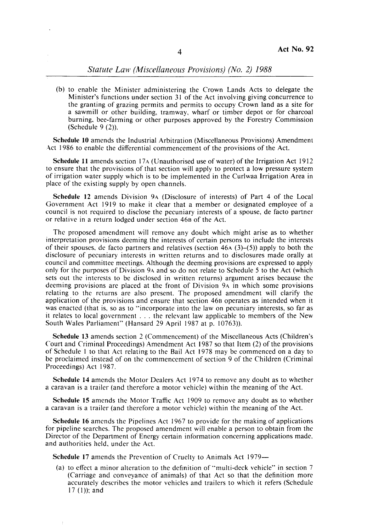## *Statute Law (Miscellaneous Provisions) (No. 2) 1988*

(b) to enable the Minister administering the Crown Lands Acts to delegate the Minister's functions under section 31 of the Act involving giving concurrence to the granting of grazing permits and permits to occupy Crown land as a site for a sawmill or other building, tramway, wharf or timber depot or for charcoal burning, bee-farming or other purposes approved by the Forestry Commission (Schedule 9 (2)).

Schedule 10 amends the Industrial Arbitration (Miscellaneous Provisions) Amendment Act 1986 to enable the differential commencement of the provisions of the Act.

Schedule 11 amends section 17<sub>A</sub> (Unauthorised use of water) of the Irrigation Act 1912 to ensure that the provisions of that section will apply to protect a low pressure system of irrigation water supply which is to be implemented in the Curlwaa Irrigation Area in place of the existing supply by open channels.

Schedule 12 amends Division 9A (Disclosure of interests) of Part 4 of the Local Government Act 1919 to make it clear that a member or designated employee of a council is not required to disclose the pecuniary interests of a spouse, de facto partner or relative in a return lodged under section 468 of the Act.

The proposed amendment will remove any doubt which might arise as to whether interpretation provisions deeming the interests of certain persons to include the interests of their spouses, de facto partners and relatives (section  $46A (3)–(5)$ ) apply to both the disclosure of pecuniary interests in wr'tten returns and to disclosures made orally at council and committee meetings. Although the deeming provisions are expressed to apply only for the purposes of Division 9A anq so do not relate to Schedule 5 to the Act (which sets out the interests to be disclosed in written returns) argument arises because the deeming provisions are placed at the front of Division 9A in which some provisions relating to the returns are also present. The proposed amendment will clarify the application of the provisions and ensure that section 468 operates as intended when it was enacted (that is, so as to "incorporate into the law on pecuniary interests, so far as it relates to local government ... the relevant law applicable to members of the New South Wales Parliament" (Hansard 29 April 1987 at p. 10763)).

Schedule 13 amends section 2 (Commencement) of the Miscellaneous Acts (Children's Court and Criminal Proceedings) Amendment Act 1987 so that Item (2) of the provisions of Schedule 1 to that Act relating to the Bail Act 1978 may be commenced on a day to be proclaimed instead of on the commencement of section 9 of the Children (Criminal Proceedings) Act 1987.

Schedule **14** amends the Motor Dealers Act 1974 to remove any doubt as to whether a caravan is a trailer (and therefore a motor vehicle) within the meaning of the Act.

Schedule 15 amends the Motor Traffic Act 1909 to remove any doubt as to whether a caravan is a trailer (and therefore a motor vehicle) within the meaning of the Act.

Schedule 16 amends the Pipelines Act 1967 to provide for the making of applications for pipeline searches. The proposed amendment will enable a person to obtain from the Director of the Department of Energy certain information concerning applications made. and authorities held, under the Act.

Schedule 17 amends the Prevention of Cruelty to Animals Act 1979-

(a) to effect a minor alteration to the definition of "multi-deck vehicle" in section 7 (Carriage and conveyance of animals) of that Act so that the definition more accurately describes the motor vehicles and trailers to which it refers (Schedule 17 (I)); and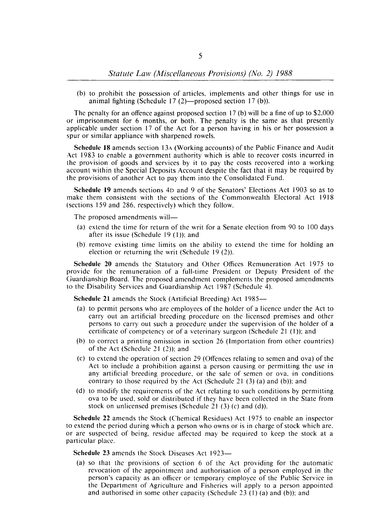(b) to prohibit the possession of articles. implements and other things for use in animal fighting (Schedule 17 $(2)$ —proposed section 17 $(b)$ ).

The penalty for an offence against proposed section 17 (b) will be a fine of up to \$2,000 or imprisonment for 6 months. or both. The penalty is the same as that presently applicable under section 17 of the Act for a person having in his or her possession a spur or similar appliance with sharpened rowels.

Schedule 18 amends section 13A (Working accounts) of the Public Finance and Audit Act 1983 to enable a government authority which is able to recover costs incurred in the provision of goods and services by it to pay the costs recovered into a working account within the Special Deposits Account despite the fact that it may be required by the provisions of another Act to pay them into the Consolidated Fund.

Schedule 19 amends sections 4D and 9 of the Senators' Elections Act 1903 so as to make them consistent with the sections of the Commonwealth Electoral Act 1918 (sections 159 and 286. respectively) which they follow.

The proposed amendments will-

- (a) extend the time for return of the writ for a Senate election from 90 to 100 days after its issue (Schedule 19 (I»; and
- (b) remove existing time limits on the ability to extend the time for holding an election or returning the writ (Schedule  $19(2)$ ).

Schedule 20 amends the Statutory and Other Offices Remuneration Act 1975 to provide for the remuneration of a full-time President or Deputy President of the Guardianship Board. The proposed amendment complements the proposed amendments to the Disability Services and Guardianship Act 1987 (Schedule 4).

Schedule 21 amends the Stock (Artificial Breeding) Act 1985-

- (a) to permit persons who are employees of the holder of a licence under the Act to carry out an artificial breeding procedure on the licensed premises and other persons to carry out such a procedure under the supervision of the holder of a certificate of competency or of a veterinary surgeon (Schedule 21  $(1)$ ); and
- (b) to correct a printing omission in section 26 (Importation from other countries) of the Act (Schedule 21 (2)); and
- (c) to extend the operation of section 29 (Offences relating to semen and ova) of the Act to include a prohibition against a person causing or permitting the use in any artificial breeding procedure. or the sale of semen or ova. in conditions contrary to those required by the Act (Schedule 21 $(3)$  (a) and (b)); and
- (d) to modify the requirements of the Act relating to such conditions by permitting ova to be used. sold or distributed if they have been collected in the State from stock on unlicensed premises (Schedule 21 $(3)$  $(c)$  and  $(d)$ ).

Schedule 22 amends the Stock (Chemical Residues) Act 1975 to enable an inspector to extend the period during which a person who owns or is in charge of stock which arc. or are suspected of being. residue affected may be required to keep the stock at a particular place.

Schedule 23 amends the Stock Diseases Act 1923-

(a) so that the provisions of section 6 of the Act providing for the automatic revocation of the appointment and authorisation of a person employed in the person's capacity as an officer or temporary employee of the Public Service in the Department of Agriculture and Fisheries will apply to a person appointed and authorised in some other capacity (Schedule  $23$  (1) (a) and (b)); and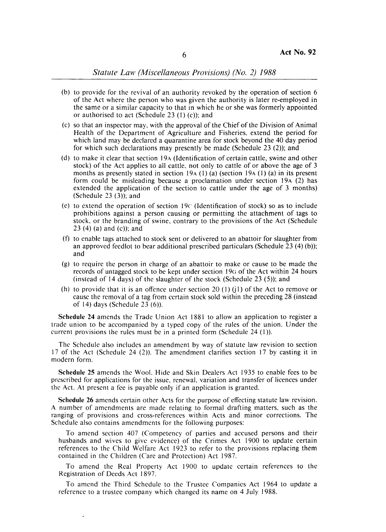- (b) to provide for the revival of an authority revoked by the operation of section  $6$ of the Act where the person who was given the authority is later re-employed in the same or a similar capacity \to that in which he or she was formerly appointed or authorised to act (Schedule  $23$  (1) (c)); and
- (c) so that an inspector may, with the approval of the Chief of the Division of Animal Health of the Department of Agriculture and Fisheries, extend the period for which land may be declared a quarantine area for stock beyond the 40 day period for which such declarations may presently be made (Schedule  $23$  (2)); and
- (d) to make it clear that section 19A (Identification of certain cattle, swine and other stock) of the Act applies to all cattle, not only to cattle of or above the age of 3 months as presently stated in section 19 $\frac{1}{4}$  (a) (a) (section 19 $\frac{1}{4}$  (1) (a) in its present form could be misleading because a proclamation under section  $19A$  (2) has extended the application of the section to cattle under the age of  $3$  months) (Schedule  $23$  (3)); and
- (e) to extend the operation of section  $19C$  (Identification of stock) so as to include prohibitions against a person \causing or permitting the attachment of tags to stock, or the branding of swine, contrary to the provisions of the Act (Schedule  $23(4)$  (a) and (c)); and
- $(f)$  to enable tags attached to stock sent or delivered to an abattoir for slaughter from an approved feed lot to bear additional prescribed particulars (Schedule  $23$  (4) (b)); and and in the second control of the second control of the second control of the second control of the second control of the second control of the second control of the second control of the second control of the second contro
- (g) to require the person in charge of an abattoir to make or cause to be made the records of untagged stock to be kept under section 19G of the Act within 24 hours (instead of 14 days) of the slaughter of the stock (Schedule  $23$  (5)); and
- (h) to provide that it is an offence under section 20 (1) (i1) of the Act to remove or cause the removal of a tag from certain stock sold within the preceding 28 (instead of 14) days (Schedule 23 (6)).

Schedule 24 amends the Trade Union Act 1881 to allow an application to register a trade union to be accompanied by a typed copy of the rules of the union. Under the current provisions the rules must be in a printed form (Schedule 24 (1)).

The Schedule also includes an amendment by way of statute law revision to section 17 of the Act (Schedule 24 (2)). The amendment clarifies section 17 by casting it in modern form.

Schedule 25 amends the Wool, Hide and Skin Dealers Act 1935 to enable fees to be prescribed for applications for the issud, renewal, variation and transfer of licences under the Act. At present a fee is payable only if an application is granted.

Schedule 26 amends certain other Acts for the purpose of effecting statute law revision. A number of amendments are made relating to formal drafting matters, such as the ranging of provisions and cross-references within Acts and minor corrections. The Schedule also contains amendments for the following purposes:

To amend section 407 (Competency of parties and accused persons and their husbands and wives to give evidence) of the Crimes Act 1900 to update certain references to the Child Welfare Act 1923 to refer to the provisions replacing them contained in the Children (Care and Protection) Act 1987.

To amend the Real Property Act 1900 to update certain references to the Registration of Deeds Act 1897.

To amend the Third Schedule to the Trustee Companies Act 1964 to update a reference to a trustee company which changed its name on 4 July 1988.

l,